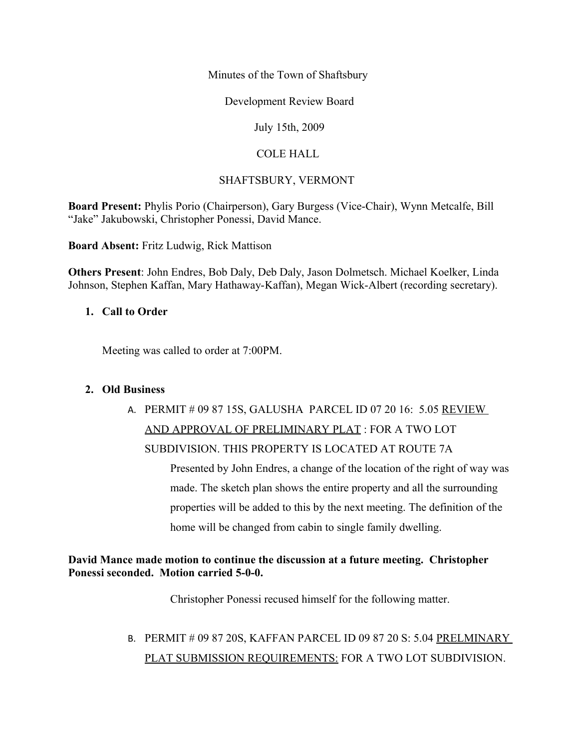Minutes of the Town of Shaftsbury

Development Review Board

July 15th, 2009

## COLE HALL

## SHAFTSBURY, VERMONT

**Board Present:** Phylis Porio (Chairperson), Gary Burgess (Vice-Chair), Wynn Metcalfe, Bill "Jake" Jakubowski, Christopher Ponessi, David Mance.

**Board Absent:** Fritz Ludwig, Rick Mattison

**Others Present**: John Endres, Bob Daly, Deb Daly, Jason Dolmetsch. Michael Koelker, Linda Johnson, Stephen Kaffan, Mary Hathaway-Kaffan), Megan Wick-Albert (recording secretary).

## **1. Call to Order**

Meeting was called to order at 7:00PM.

#### **2. Old Business**

# A. PERMIT # 09 87 15S, GALUSHA PARCEL ID 07 20 16: 5.05 REVIEW AND APPROVAL OF PRELIMINARY PLAT : FOR A TWO LOT SUBDIVISION. THIS PROPERTY IS LOCATED AT ROUTE 7A

Presented by John Endres, a change of the location of the right of way was made. The sketch plan shows the entire property and all the surrounding properties will be added to this by the next meeting. The definition of the home will be changed from cabin to single family dwelling.

## **David Mance made motion to continue the discussion at a future meeting. Christopher Ponessi seconded. Motion carried 5-0-0.**

Christopher Ponessi recused himself for the following matter.

# B. PERMIT # 09 87 20S, KAFFAN PARCEL ID 09 87 20 S: 5.04 PRELMINARY PLAT SUBMISSION REQUIREMENTS: FOR A TWO LOT SUBDIVISION.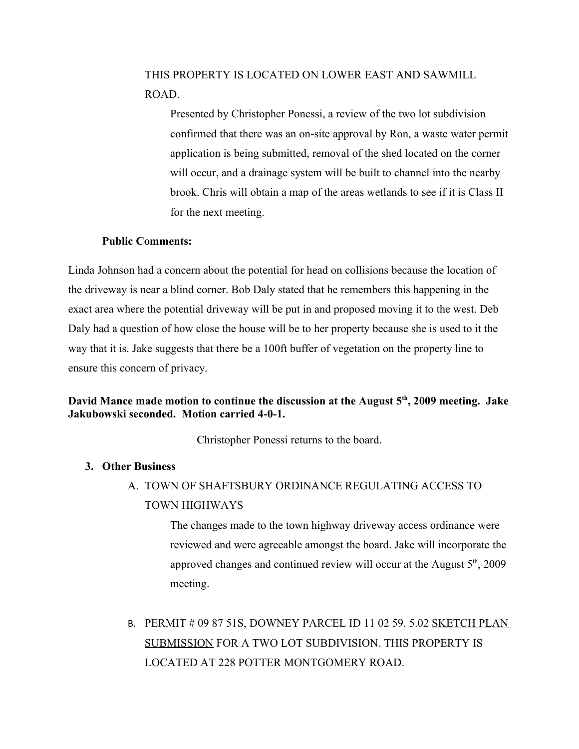## THIS PROPERTY IS LOCATED ON LOWER EAST AND SAWMILL ROAD.

Presented by Christopher Ponessi, a review of the two lot subdivision confirmed that there was an on-site approval by Ron, a waste water permit application is being submitted, removal of the shed located on the corner will occur, and a drainage system will be built to channel into the nearby brook. Chris will obtain a map of the areas wetlands to see if it is Class II for the next meeting.

#### **Public Comments:**

Linda Johnson had a concern about the potential for head on collisions because the location of the driveway is near a blind corner. Bob Daly stated that he remembers this happening in the exact area where the potential driveway will be put in and proposed moving it to the west. Deb Daly had a question of how close the house will be to her property because she is used to it the way that it is. Jake suggests that there be a 100ft buffer of vegetation on the property line to ensure this concern of privacy.

## **David Mance made motion to continue the discussion at the August 5th, 2009 meeting. Jake Jakubowski seconded. Motion carried 4-0-1.**

Christopher Ponessi returns to the board.

#### **3. Other Business**

A. TOWN OF SHAFTSBURY ORDINANCE REGULATING ACCESS TO TOWN HIGHWAYS

> The changes made to the town highway driveway access ordinance were reviewed and were agreeable amongst the board. Jake will incorporate the approved changes and continued review will occur at the August  $5<sup>th</sup>$ , 2009 meeting.

B. PERMIT # 09 87 51S, DOWNEY PARCEL ID 11 02 59. 5.02 SKETCH PLAN SUBMISSION FOR A TWO LOT SUBDIVISION. THIS PROPERTY IS LOCATED AT 228 POTTER MONTGOMERY ROAD.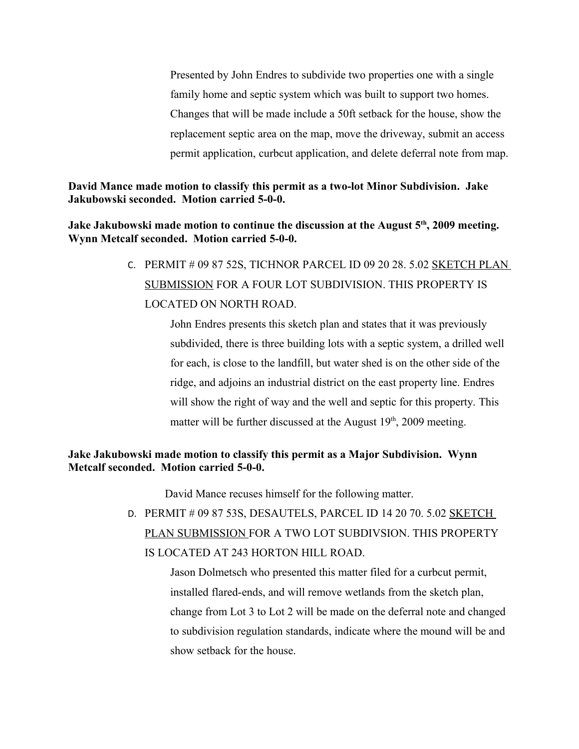Presented by John Endres to subdivide two properties one with a single family home and septic system which was built to support two homes. Changes that will be made include a 50ft setback for the house, show the replacement septic area on the map, move the driveway, submit an access permit application, curbcut application, and delete deferral note from map.

#### **David Mance made motion to classify this permit as a two-lot Minor Subdivision. Jake Jakubowski seconded. Motion carried 5-0-0.**

**Jake Jakubowski made motion to continue the discussion at the August 5th, 2009 meeting. Wynn Metcalf seconded. Motion carried 5-0-0.** 

> C. PERMIT # 09 87 52S, TICHNOR PARCEL ID 09 20 28. 5.02 SKETCH PLAN SUBMISSION FOR A FOUR LOT SUBDIVISION. THIS PROPERTY IS LOCATED ON NORTH ROAD.

> > John Endres presents this sketch plan and states that it was previously subdivided, there is three building lots with a septic system, a drilled well for each, is close to the landfill, but water shed is on the other side of the ridge, and adjoins an industrial district on the east property line. Endres will show the right of way and the well and septic for this property. This matter will be further discussed at the August  $19<sup>th</sup>$ , 2009 meeting.

## **Jake Jakubowski made motion to classify this permit as a Major Subdivision. Wynn Metcalf seconded. Motion carried 5-0-0.**

David Mance recuses himself for the following matter.

D. PERMIT # 09 87 53S, DESAUTELS, PARCEL ID 14 20 70. 5.02 SKETCH PLAN SUBMISSION FOR A TWO LOT SUBDIVSION. THIS PROPERTY IS LOCATED AT 243 HORTON HILL ROAD.

> Jason Dolmetsch who presented this matter filed for a curbcut permit, installed flared-ends, and will remove wetlands from the sketch plan, change from Lot 3 to Lot 2 will be made on the deferral note and changed to subdivision regulation standards, indicate where the mound will be and show setback for the house.